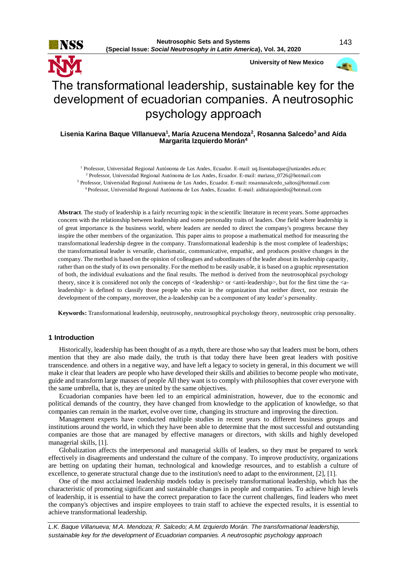

 **University of New Mexico**



# The transformational leadership, sustainable key for the development of ecuadorian companies. A neutrosophic psychology approach

# **Lisenia Karina Baque VIllanueva<sup>1</sup> , María Azucena Mendoza<sup>2</sup> , Rosanna Salcedo<sup>3</sup>and Aída Margarita Izquierdo Morán<sup>4</sup>**

 Professor, Universidad Regional Autónoma de Los Andes, Ecuador. E-mail: uq.liseniabaque@uniandes.edu.ec Professor, Universidad Regional Autónoma de Los Andes, Ecuador. E-mail: mariasu\_0726@hotmail.com Professor, Universidad Regional Autónoma de Los Andes, Ecuador. E-mail: [rosannasalcedo\\_saltos@hotmail.com](mailto:rosannasalcedo_saltos@hotmail.com) Professor, Universidad Regional Autónoma de Los Andes, Ecuador. E-mail: aiditaizquierdo@hotmail.com

**Abstract**. The study of leadership is a fairly recurring topic in the scientific literature in recent years. Some approaches concern with the relationship between leadership and some personality traits of leaders. One field where leadership is of great importance is the business world, where leaders are needed to direct the company's progress because they inspire the other members of the organization. This paper aims to propose a mathematical method for measuring the transformational leadership degree in the company. Transformational leadership is the most complete of leaderships; the transformational leader is versatile, charismatic, communicative, empathic, and produces positive changes in the company. The method is based on the opinion of colleagues and subordinates of the leader about its leadership capacity, rather than on the study of its own personality. For the method to be easily usable, it is based on a graphic representation of both, the individual evaluations and the final results. The method is derived from the neutrosophical psychology theory, since it is considered not only the concepts of <leadership> or <anti-leadership>, but for the first time the <aleadership> is defined to classify those people who exist in the organization that neither direct, nor restrain the development of the company, moreover, the a-leadership can be a component of any leader's personality.

**Keywords:** Transformational leadership, neutrosophy, neutrosophical psychology theory, neutrosophic crisp personality.

# **1 Introduction**

Historically, leadership has been thought of as a myth, there are those who say that leaders must be born, others mention that they are also made daily, the truth is that today there have been great leaders with positive transcendence. and others in a negative way, and have left a legacy to society in general, in this document we will make it clear that leaders are people who have developed their skills and abilities to become people who motivate, guide and transform large masses of people All they want is to comply with philosophies that cover everyone with the same umbrella, that is, they are united by the same objectives.

Ecuadorian companies have been led to an empirical administration, however, due to the economic and political demands of the country, they have changed from knowledge to the application of knowledge, so that companies can remain in the market, evolve over time, changing its structure and improving the direction.

Management experts have conducted multiple studies in recent years to different business groups and institutions around the world, in which they have been able to determine that the most successful and outstanding companies are those that are managed by effective managers or directors, with skills and highly developed managerial skills, [1].

Globalization affects the interpersonal and managerial skills of leaders, so they must be prepared to work effectively in disagreements and understand the culture of the company. To improve productivity, organizations are betting on updating their human, technological and knowledge resources, and to establish a culture of excellence, to generate structural change due to the institution's need to adapt to the environment, [2], [1].

One of the most acclaimed leadership models today is precisely transformational leadership, which has the characteristic of promoting significant and sustainable changes in people and companies. To achieve high levels of leadership, it is essential to have the correct preparation to face the current challenges, find leaders who meet the company's objectives and inspire employees to train staff to achieve the expected results, it is essential to achieve transformational leadership.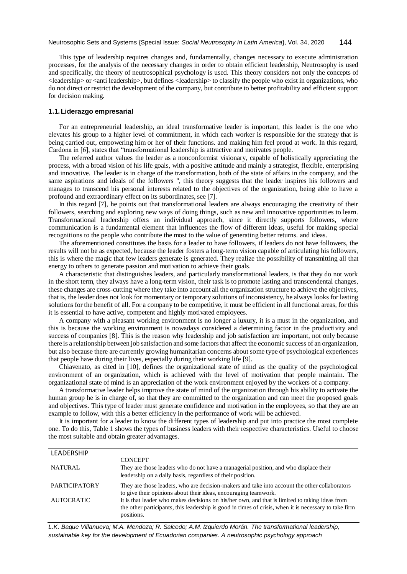This type of leadership requires changes and, fundamentally, changes necessary to execute administration processes, for the analysis of the necessary changes in order to obtain efficient leadership, Neutrosophy is used and specifically, the theory of neutrosophical psychology is used. This theory considers not only the concepts of <leadership> or <anti leadership>, but defines <leadership> to classify the people who exist in organizations, who do not direct or restrict the development of the company, but contribute to better profitability and efficient support for decision making.

# **1.1.Liderazgo empresarial**

For an entrepreneurial leadership, an ideal transformative leader is important, this leader is the one who elevates his group to a higher level of commitment, in which each worker is responsible for the strategy that is being carried out, empowering him or her of their functions. and making him feel proud at work. In this regard, Cardona in [6], states that "transformational leadership is attractive and motivates people.

The referred author values the leader as a nonconformist visionary, capable of holistically appreciating the process, with a broad vision of his life goals, with a positive attitude and mainly a strategist, flexible, enterprising and innovative. The leader is in charge of the transformation, both of the state of affairs in the company, and the same aspirations and ideals of the followers ", this theory suggests that the leader inspires his followers and manages to transcend his personal interests related to the objectives of the organization, being able to have a profound and extraordinary effect on its subordinates, see [7].

In this regard [7], he points out that transformational leaders are always encouraging the creativity of their followers, searching and exploring new ways of doing things, such as new and innovative opportunities to learn. Transformational leadership offers an individual approach, since it directly supports followers, where communication is a fundamental element that influences the flow of different ideas, useful for making special recognitions to the people who contribute the most to the value of generating better returns. and ideas.

The aforementioned constitutes the basis for a leader to have followers, if leaders do not have followers, the results will not be as expected, because the leader fosters a long-term vision capable of articulating his followers, this is where the magic that few leaders generate is generated. They realize the possibility of transmitting all that energy to others to generate passion and motivation to achieve their goals.

A characteristic that distinguishes leaders, and particularly transformational leaders, is that they do not work in the short term, they always have a long-term vision, their task is to promote lasting and transcendental changes, these changes are cross-cutting where they take into account all the organization structure to achieve the objectives, that is, the leader does not look for momentary or temporary solutions of inconsistency, he always looks for lasting solutions for the benefit of all. For a company to be competitive, it must be efficient in all functional areas, for this it is essential to have active, competent and highly motivated employees.

A company with a pleasant working environment is no longer a luxury, it is a must in the organization, and this is because the working environment is nowadays considered a determining factor in the productivity and success of companies [8]. This is the reason why leadership and job satisfaction are important, not only because there is a relationship between job satisfaction and some factors that affect the economic success of an organization, but also because there are currently growing humanitarian concerns about some type of psychological experiences that people have during their lives, especially during their working life [9].

Chiavenato, as cited in [10], defines the organizational state of mind as the quality of the psychological environment of an organization, which is achieved with the level of motivation that people maintain. The organizational state of mind is an appreciation of the work environment enjoyed by the workers of a company.

A transformative leader helps improve the state of mind of the organization through his ability to activate the human group he is in charge of, so that they are committed to the organization and can meet the proposed goals and objectives. This type of leader must generate confidence and motivation in the employees, so that they are an example to follow, with this a better efficiency in the performance of work will be achieved.

It is important for a leader to know the different types of leadership and put into practice the most complete one. To do this, Table 1 shows the types of business leaders with their respective characteristics. Useful to choose the most suitable and obtain greater advantages.

| <b>LEADERSHIP</b>    |                                                                                                                                                                                                                       |
|----------------------|-----------------------------------------------------------------------------------------------------------------------------------------------------------------------------------------------------------------------|
|                      | <b>CONCEPT</b>                                                                                                                                                                                                        |
| <b>NATURAL</b>       | They are those leaders who do not have a managerial position, and who displace their<br>leadership on a daily basis, regardless of their position.                                                                    |
| <b>PARTICIPATORY</b> | They are those leaders, who are decision-makers and take into account the other collaborators<br>to give their opinions about their ideas, encouraging teamwork.                                                      |
| <b>AUTOCRATIC</b>    | It is that leader who makes decisions on his/her own, and that is limited to taking ideas from<br>the other participants, this leadership is good in times of crisis, when it is necessary to take firm<br>positions. |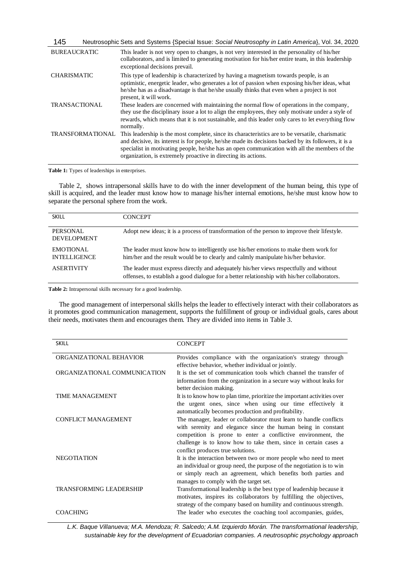| 145                     | Neutrosophic Sets and Systems {Special Issue: Social Neutrosophy in Latin America}, Vol. 34, 2020                                                                                                                                                                                                                                                                           |
|-------------------------|-----------------------------------------------------------------------------------------------------------------------------------------------------------------------------------------------------------------------------------------------------------------------------------------------------------------------------------------------------------------------------|
| <b>BUREAUCRATIC</b>     | This leader is not very open to changes, is not very interested in the personality of his/her<br>collaborators, and is limited to generating motivation for his/her entire team, in this leadership<br>exceptional decisions prevail.                                                                                                                                       |
| <b>CHARISMATIC</b>      | This type of leadership is characterized by having a magnetism towards people, is an<br>optimistic, energetic leader, who generates a lot of passion when exposing his/her ideas, what<br>he/she has as a disadvantage is that he/she usually thinks that even when a project is not<br>present, it will work.                                                              |
| <b>TRANSACTIONAL</b>    | These leaders are concerned with maintaining the normal flow of operations in the company,<br>they use the disciplinary issue a lot to align the employees, they only motivate under a style of<br>rewards, which means that it is not sustainable, and this leader only cares to let everything flow<br>normally.                                                          |
| <b>TRANSFORMATIONAL</b> | This leadership is the most complete, since its characteristics are to be versatile, charismatic<br>and decisive, its interest is for people, he/she made its decisions backed by its followers, it is a<br>specialist in motivating people, he/she has an open communication with all the members of the<br>organization, is extremely proactive in directing its actions. |

**Table 1:** Types of leaderships in enterprises.

Table 2, shows intrapersonal skills have to do with the inner development of the human being, this type of skill is acquired, and the leader must know how to manage his/her internal emotions, he/she must know how to separate the personal sphere from the work.

| <b>SKILL</b>                            | <b>CONCEPT</b>                                                                                                                                                                         |
|-----------------------------------------|----------------------------------------------------------------------------------------------------------------------------------------------------------------------------------------|
| PERSONAL<br><b>DEVELOPMENT</b>          | Adopt new ideas; it is a process of transformation of the person to improve their lifestyle.                                                                                           |
| <b>EMOTIONAL</b><br><b>INTELLIGENCE</b> | The leader must know how to intelligently use his/her emotions to make them work for<br>him/her and the result would be to clearly and calmly manipulate his/her behavior.             |
| <b>ASERTIVITY</b>                       | The leader must express directly and adequately his/her views respectfully and without<br>offenses, to establish a good dialogue for a better relationship with his/her collaborators. |

**Table 2:** Intrapersonal skills necessary for a good leadership.

The good management of interpersonal skills helps the leader to effectively interact with their collaborators as it promotes good communication management, supports the fulfillment of group or individual goals, cares about their needs, motivates them and encourages them. They are divided into items in Table 3.

| <b>SKILL</b>                   | <b>CONCEPT</b>                                                                                                                                                                                                                                                                                             |
|--------------------------------|------------------------------------------------------------------------------------------------------------------------------------------------------------------------------------------------------------------------------------------------------------------------------------------------------------|
| ORGANIZATIONAL BEHAVIOR        | Provides compliance with the organization's strategy through                                                                                                                                                                                                                                               |
| ORGANIZATIONAL COMMUNICATION   | effective behavior, whether individual or jointly.<br>It is the set of communication tools which channel the transfer of<br>information from the organization in a secure way without leaks for<br>better decision making.                                                                                 |
| <b>TIME MANAGEMENT</b>         | It is to know how to plan time, prioritize the important activities over<br>the urgent ones, since when using our time effectively it<br>automatically becomes production and profitability.                                                                                                               |
| <b>CONFLICT MANAGEMENT</b>     | The manager, leader or collaborator must learn to handle conflicts<br>with serenity and elegance since the human being in constant<br>competition is prone to enter a conflictive environment, the<br>challenge is to know how to take them, since in certain cases a<br>conflict produces true solutions. |
| <b>NEGOTIATION</b>             | It is the interaction between two or more people who need to meet<br>an individual or group need, the purpose of the negotiation is to win<br>or simply reach an agreement, which benefits both parties and<br>manages to comply with the target set.                                                      |
| <b>TRANSFORMING LEADERSHIP</b> | Transformational leadership is the best type of leadership because it<br>motivates, inspires its collaborators by fulfilling the objectives,<br>strategy of the company based on humility and continuous strength.                                                                                         |
| <b>COACHING</b>                | The leader who executes the coaching tool accompanies, guides,                                                                                                                                                                                                                                             |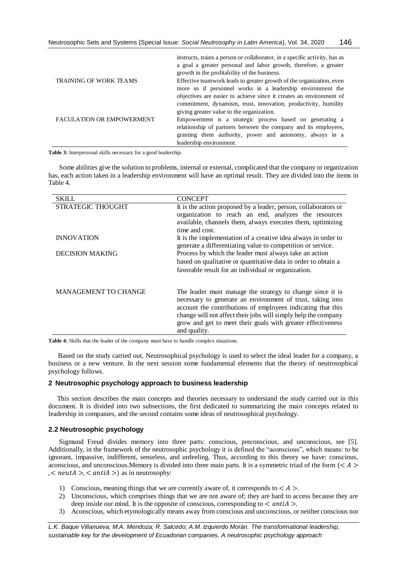|                                  | instructs, trains a person or collaborator, in a specific activity, has as<br>a goal a greater personal and labor growth, therefore, a greater<br>growth in the profitability of the business. |
|----------------------------------|------------------------------------------------------------------------------------------------------------------------------------------------------------------------------------------------|
| <b>TRAINING OF WORK TEAMS</b>    | Effective teamwork leads to greater growth of the organization, even                                                                                                                           |
|                                  | more so if personnel works in a leadership environment the                                                                                                                                     |
|                                  | objectives are easier to achieve since it creates an environment of                                                                                                                            |
|                                  | commitment, dynamism, trust, innovation, productivity, humility                                                                                                                                |
|                                  | giving greater value to the organization.                                                                                                                                                      |
| <b>FACULATION OR EMPOWERMENT</b> | Empowerment is a strategic process based on generating a                                                                                                                                       |
|                                  | relationship of partners between the company and its employees,                                                                                                                                |
|                                  | granting them authority, power and autonomy, always in a                                                                                                                                       |
|                                  | leadership environment.                                                                                                                                                                        |

**Table 3:** Interpersonal skills necessary for a good leadership.

Some abilities give the solution to problems, internal or external, complicated that the company or organization has, each action taken in a leadership environment will have an optimal result. They are divided into the items in Table 4.

| SKILL                       | <b>CONCEPT</b>                                                                                                                                                                                                                                                                                                                          |
|-----------------------------|-----------------------------------------------------------------------------------------------------------------------------------------------------------------------------------------------------------------------------------------------------------------------------------------------------------------------------------------|
| <b>STRATEGIC THOUGHT</b>    | It is the action proposed by a leader, person, collaborators or<br>organization to reach an end, analyzes the resources<br>available, channels them, always executes them, optimizing<br>time and cost.                                                                                                                                 |
| <b>INNOVATION</b>           | It is the implementation of a creative idea always in order to<br>generate a differentiating value to competition or service.                                                                                                                                                                                                           |
| <b>DECISION MAKING</b>      | Process by which the leader must always take an action<br>based on qualitative or quantitative data in order to obtain a<br>favorable result for an individual or organization.                                                                                                                                                         |
| <b>MANAGEMENT TO CHANGE</b> | The leader must manage the strategy to change since it is<br>necessary to generate an environment of trust, taking into<br>account the contributions of employees indicating that this<br>change will not affect their jobs will simply help the company<br>grow and get to meet their goals with greater effectiveness<br>and quality. |

**Table 4:** Skills that the leader of the company must have to handle complex situations.

Based on the study carried out, Neutrosophical psychology is used to select the ideal leader for a company, a business or a new venture. In the next session some fundamental elements that the theory of neutrosophical psychology follows.

# **2 Neutrosophic psychology approach to business leadership**

 This section describes the main concepts and theories necessary to understand the study carried out in this document. It is divided into two subsections, the first dedicated to summarizing the main concepts related to leadership in companies, and the second contains some ideas of neutrosophical psychology.

#### **2.2 Neutrosophic psychology**

Sigmund Freud divides memory into three parts: conscious, preconscious, and unconscious, see [5]. Additionally, in the framework of the neutrosophic psychology it is defined the "aconscious", which means: to be ignorant, impassive, indifferent, senseless, and unfeeling. Thus, according to this theory we have: conscious, aconscious, and unconscious. Memory is divided into three main parts. It is a symmetric triad of the form  $(< A > 1$  $,$  < neut $A$  >, < anti $A$  >) as in neutrosophy:

- 1) Conscious, meaning things that we are currently aware of, it corresponds to  $\langle A \rangle$ .
- 2) Unconscious, which comprises things that we are not aware of; they are hard to access because they are deep inside our mind. It is the opposite of conscious, corresponding to  $\langle$  antiA  $\rangle$ .
- 3) Aconscious, which etymologically means away from conscious and unconscious, or neither conscious nor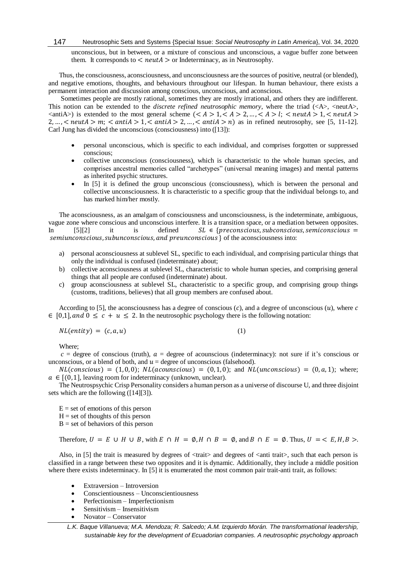unconscious, but in between, or a mixture of conscious and unconscious, a vague buffer zone between them. It corresponds to  $\langle$  neut $A \rangle$  or Indeterminacy, as in Neutrosophy.

Thus, the consciousness, aconsciousness, and unconsciousness are the sources of positive, neutral (or blended), and negative emotions, thoughts, and behaviours throughout our lifespan. In human behaviour, there exists a permanent interaction and discussion among conscious, unconscious, and aconscious.

Sometimes people are mostly rational, sometimes they are mostly irrational, and others they are indifferent. This notion can be extended to the *discrete refined neutrosophic memory*, where the triad  $(\langle A \rangle, \langle \text{neut} A \rangle)$ ,  $\langle$  <antiA>) is extended to the most general scheme  $\langle < A > 1, < A > 2, \ldots, < A > 1$ ;  $<$  neutA > 1,  $<$  neutA >  $2, \ldots,$  < neut $A > m$ ; < anti $A > 1$ , < anti $A > 2, \ldots,$  < anti $A > n$ ) as in refined neutrosophy, see [5, 11-12]. Carl Jung has divided the unconscious (consciousness) into ([13]):

- personal unconscious, which is specific to each individual, and comprises forgotten or suppressed conscious;
- collective unconscious (consciousness), which is characteristic to the whole human species, and comprises ancestral memories called "archetypes" (universal meaning images) and mental patterns as inherited psychic structures.
- In [5] it is defined the group unconscious (consciousness), which is between the personal and collective unconsciousness. It is characteristic to a specific group that the individual belongs to, and has marked him/her mostly.

The aconsciousness, as an amalgam of consciousness and unconsciousness, is the indeterminate, ambiguous, vague zone where conscious and unconscious interfere. It is a transition space, or a mediation between opposites. In [5][2] it is defined  $SL \in \{preconscious, subconscious, semiconscious =$  $seminconscious, subunconscious, and preunconscious$ } of the aconsciousness into:

- a) personal aconsciousness at sublevel SL, specific to each individual, and comprising particular things that only the individual is confused (indeterminate) about;
- b) collective aconsciousness at sublevel SL, characteristic to whole human species, and comprising general things that all people are confused (indeterminate) about.
- c) group aconsciousness at sublevel SL, characteristic to a specific group, and comprising group things (customs, traditions, believes) that all group members are confused about.

According to [5], the aconsciousness has a degree of conscious  $(c)$ , and a degree of unconscious  $(u)$ , where c  $\in [0,1]$ , and  $0 \leq c + u \leq 2$ . In the neutrosophic psychology there is the following notation:

 $NL(entity) = (c, a, u)$  (1)

Where;

 $c =$  degree of conscious (truth),  $a =$  degree of acounscious (indeterminacy): not sure if it's conscious or unconscious, or a blend of both, and  $u =$  degree of unconscious (falsehood).

 $NL(conscious) = (1, 0, 0); NL(acounscious) = (0, 1, 0);$  and  $NL(unconscious) = (0, a, 1);$  where;  $a \in [(0,1]$ , leaving room for indeterminacy (unknown, unclear).

The Neutrospsychic Crisp Personality considers a human person as a universe of discourse U, and three disjoint sets which are the following ([14][3]).

 $E =$  set of emotions of this person  $H = set of thought of this person$  $B = set of behaviors of this person$ 

Therefore,  $U = E \cup H \cup B$ , with  $E \cap H = \emptyset$ ,  $H \cap B = \emptyset$ , and  $B \cap E = \emptyset$ . Thus,  $U = \langle E, H, B \rangle$ .

Also, in [5] the trait is measured by degrees of  $\langle$ trait $\rangle$  and degrees of  $\langle$ anti trait $\rangle$ , such that each person is classified in a range between these two opposites and it is dynamic. Additionally, they include a middle position where there exists indeterminacy. In [5] it is enumerated the most common pair trait-anti trait, as follows:

- Extraversion Introversion
- Conscientiousness Unconscientiousness
- Perfectionism Imperfectionism
- Sensitivism Insensitivism
- Novator Conservator

*L.K. Baque Villanueva; M.A. Mendoza; R. Salcedo; A.M. Izquierdo Morán. The transformational leadership, sustainable key for the development of Ecuadorian companies. A neutrosophic psychology approach*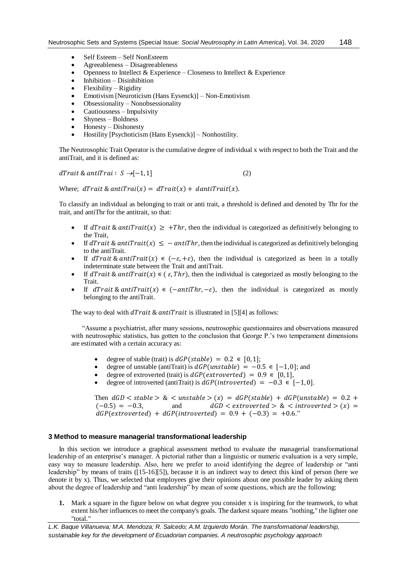- Self Esteem Self NonEsteem
- Agreeableness Disagreeableness
- Openness to Intellect  $&$  Experience Closeness to Intellect  $&$  Experience
- $\bullet$  Inhibition Disinhibition
- $\bullet$  Flexibility Rigidity
- Emotivism [Neuroticism (Hans Eysenck)] Non-Emotivism
- $\bullet$  Obsessionality Nonobsessionality
- Cautiousness Impulsivity
- $\bullet$  Shyness Boldness
- $\bullet$  Honesty Dishonesty
- Hostility [Psychoticism (Hans Eysenck)] Nonhostility.

The Neutrosophic Trait Operator is the cumulative degree of individual x with respect to both the Trait and the antiTrait, and it is defined as:

 $dTrain & antiTrai: S \rightarrow [-1,1]$  (2)

Where;  $dTrait & antiTrait(x) = dTrait(x) + dantiTrait(x)$ .

To classify an individual as belonging to trait or anti trait, a threshold is defined and denoted by Thr for the trait, and antiThr for the antitrait, so that:

- If  $dTrain\&antTrait(x) \geq +Thr$ , then the individual is categorized as definitively belonging to the Trait,
- If dTrait & antiTrait(x)  $\le -$  antiThr, then the individual is categorized as definitively belonging to the antiTrait.
- If dTrait & antiTrait(x)  $\in (-\varepsilon, +\varepsilon)$ , then the individual is categorized as been in a totally indeterminate state between the Trait and antiTrait.
- If  $dTrain\&antTrait(x) \in (\varepsilon, Thr)$ , then the individual is categorized as mostly belonging to the Trait.
- If  $dTrain\&antTrain(x) \in (-antiThr, -\varepsilon)$ , then the individual is categorized as mostly belonging to the antiTrait.

The way to deal with  $d\textit{Trait} \& \textit{antiTrait}$  is illustrated in [5][4] as follows:

"Assume a psychiatrist, after many sessions, neutrosophic questionnaires and observations measured with neutrosophic statistics, has gotten to the conclusion that George P.'s two temperament dimensions are estimated with a certain accuracy as:

- degree of stable (trait) is  $dGP(state) = 0.2 \in [0, 1];$ <br>• degree of unstable (antiTrait) is  $dGP(unstable) = -0$
- degree of unstable (antiTrait) is  $dGP$ (*unstable*) =  $-0.5 \in [-1,0]$ ; and
- degree of extroverted (trait) is  $dGP(extrovert ed) = 0.9 \in [0,1],$
- degree of introverted (antiTrait) is  $dGP(introverted) = -0.3 \in [-1,0]$ .

Then  $dGD < stable > \< unstable > (x) = dGP(state) + dGP(unstable) = 0.2 +$  $(-0.5) = -0.3$ , and  $dGD <$  extroverted > &  $\lt$  introverted >  $(x) =$  $dGP(extroverted) + dGP(introverted) = 0.9 + (-0.3) = +0.6."$ 

# **3 Method to measure managerial transformational leadership**

In this section we introduce a graphical assessment method to evaluate the managerial transformational leadership of an enterprise's manager. A pictorial rather than a linguistic or numeric evaluation is a very simple, easy way to measure leadership. Also, here we prefer to avoid identifying the degree of leadership or "anti leadership" by means of traits ([15-16][5]), because it is an indirect way to detect this kind of person (here we denote it by x). Thus, we selected that employees give their opinions about one possible leader by asking them about the degree of leadership and "anti leadership" by mean of some questions, which are the following:

**1.** Mark a square in the figure below on what degree you consider x is inspiring for the teamwork, to what extent his/her influences to meet the company's goals. The darkest square means "nothing," the lighter one "total."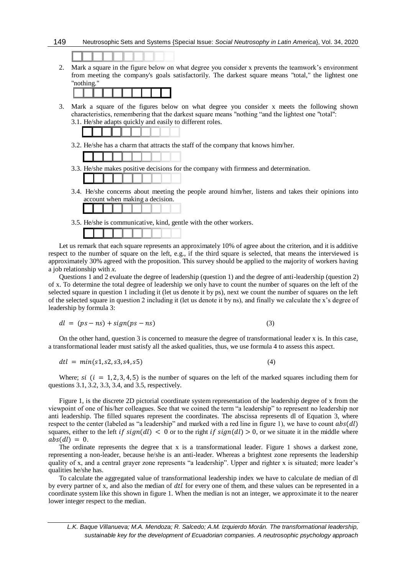

2. Mark a square in the figure below on what degree you consider x prevents the teamwork's environment from meeting the company's goals satisfactorily. The darkest square means "total," the lightest one "nothing."



3. Mark a square of the figures below on what degree you consider x meets the following shown characteristics, remembering that the darkest square means "nothing "and the lightest one "total": 3.1. He/she adapts quickly and easily to different roles.



- 3.3. He/she makes positive decisions for the company with firmness and determination.
- 3.4. He/she concerns about meeting the people around him/her, listens and takes their opinions into account when making a decision.
- 3.5. He/she is communicative, kind, gentle with the other workers.

Let us remark that each square represents an approximately 10% of agree about the criterion, and it is additive respect to the number of square on the left, e.g., if the third square is selected, that means the interviewed is approximately 30% agreed with the proposition. This survey should be applied to the majority of workers having a job relationship with *x*.

Questions 1 and 2 evaluate the degree of leadership (question 1) and the degree of anti-leadership (question 2) of x. To determine the total degree of leadership we only have to count the number of squares on the left of the selected square in question 1 including it (let us denote it by ps), next we count the number of squares on the left of the selected square in question 2 including it (let us denote it by ns), and finally we calculate the x's degree of leadership by formula 3:

$$
dl = (ps - ns) + sign(ps - ns) \tag{3}
$$

On the other hand, question 3 is concerned to measure the degree of transformational leader x is. In this case, a transformational leader must satisfy all the asked qualities, thus, we use formula 4 to assess this aspect.

$$
dtl = min(s1, s2, s3, s4, s5)
$$
\n(4)

Where;  $si$  ( $i = 1, 2, 3, 4, 5$ ) is the number of squares on the left of the marked squares including them for questions 3.1, 3.2, 3.3, 3.4, and 3.5, respectively.

Figure 1, is the discrete 2D pictorial coordinate system representation of the leadership degree of x from the viewpoint of one of his/her colleagues. See that we coined the term "a leadership" to represent no leadership nor anti leadership. The filled squares represent the coordinates. The abscissa represents dl of Equation 3, where respect to the center (labeled as "a leadership" and marked with a red line in figure 1), we have to count  $abs(d)$ squares, either to the left if  $sign(d) < 0$  or to the right if  $sign(d) > 0$ , or we situate it in the middle where  $abs(d) = 0.$ 

The ordinate represents the degree that x is a transformational leader. Figure 1 shows a darkest zone, representing a non-leader, because he/she is an anti-leader. Whereas a brightest zone represents the leadership quality of x, and a central grayer zone represents "a leadership". Upper and righter x is situated; more leader's qualities he/she has.

To calculate the aggregated value of transformational leadership index we have to calculate de median of dl by every partner of x, and also the median of  $d\ell l$  for every one of them, and these values can be represented in a coordinate system like this shown in figure 1. When the median is not an integer, we approximate it to the nearer lower integer respect to the median.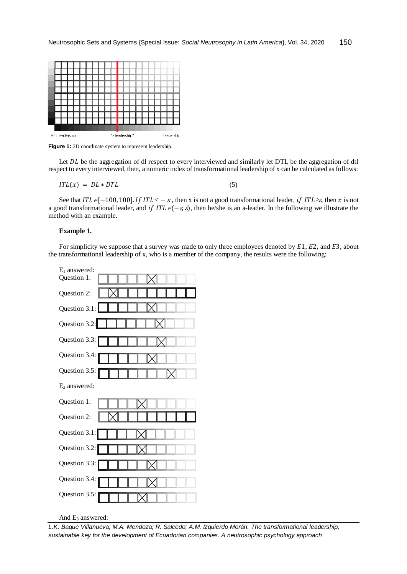

Figure 1: 2D coordinate system to represent leadership.

Let DL be the aggregation of dl respect to every interviewed and similarly let DTL be the aggregation of dtl respect to every interviewed, then, a numeric index of transformational leadership of x can be calculated as follows:

$$
ITL(x) = DL * DTL \tag{5}
$$

See that  $ITL \in [-100, 100]$ . If  $ITL \leq -\varepsilon$ , then x is not a good transformational leader, if  $ITL \geq \varepsilon$ , then x is not a good transformational leader, and if  $ITL \in (-\varepsilon, \varepsilon)$ , then he/she is an a-leader. In the following we illustrate the method with an example.

#### **Example 1.**

For simplicity we suppose that a survey was made to only three employees denoted by  $E1$ ,  $E2$ , and  $E3$ , about the transformational leadership of x, who is a member of the company, the results were the following:



And E<sub>3</sub> answered:

*L.K. Baque Villanueva; M.A. Mendoza; R. Salcedo; A.M. Izquierdo Morán. The transformational leadership, sustainable key for the development of Ecuadorian companies. A neutrosophic psychology approach*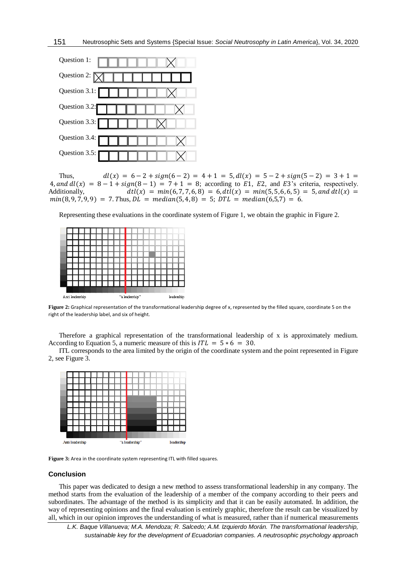

Thus,  $dl(x) = 6 - 2 + sign(6 - 2) = 4 + 1 = 5, dl(x) = 5 - 2 + sign(5 - 2) = 3 + 1 =$ 4, and  $dl(x) = 8 - 1 + sign(8 - 1) = 7 + 1 = 8$ ; according to E1, E2, and E3's criteria, respectively. Additionally,  $dt(x) = min(6, 7, 7, 6, 8) = 6, dt(x) = min(5, 5, 6, 6, 5) = 5, and dt(x) =$  $min(8, 9, 7, 9, 9) = 7$ . Thus,  $DL = median(5, 4, 8) = 5$ ;  $DTL = median(6,5,7) = 6$ .

Representing these evaluations in the coordinate system of Figure 1, we obtain the graphic in Figure 2.



**Figure 2:** Graphical representation of the transformational leadership degree of x, represented by the filled square, coordinate 5 on the right of the leadership label, and six of height.

Therefore a graphical representation of the transformational leadership of x is approximately medium. According to Equation 5, a numeric measure of this is  $ITL = 5 * 6 = 30$ .

ITL corresponds to the area limited by the origin of the coordinate system and the point represented in Figure 2, see Figure 3.



**Figure 3:** Area in the coordinate system representing ITL with filled squares.

### **Conclusion**

This paper was dedicated to design a new method to assess transformational leadership in any company. The method starts from the evaluation of the leadership of a member of the company according to their peers and subordinates. The advantage of the method is its simplicity and that it can be easily automated. In addition, the way of representing opinions and the final evaluation is entirely graphic, therefore the result can be visualized by all, which in our opinion improves the understanding of what is measured, rather than if numerical measurements